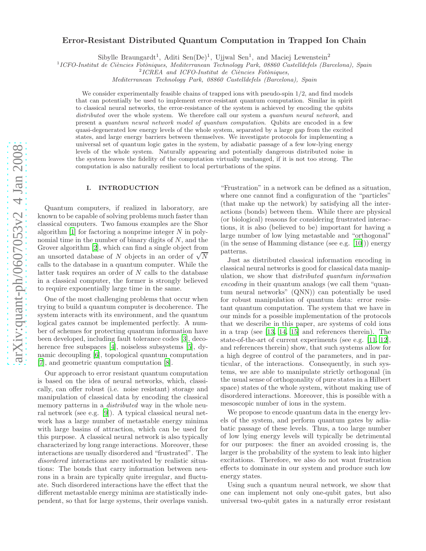# $arXiv:quant-ph/0607053v2$  4 Jan 2008 [arXiv:quant-ph/0607053v2 4 Jan 2008](http://arxiv.org/abs/quant-ph/0607053v2)

# Error-Resistant Distributed Quantum Computation in Trapped Ion Chain

Sibylle Braungardt<sup>1</sup>, Aditi Sen $(De)^1$ , Ujjwal Sen<sup>1</sup>, and Maciej Lewenstein<sup>2</sup>

<sup>1</sup> ICFO-Institut de Ciències Fotòniques, Mediterranean Technology Park, 08860 Castelldefels (Barcelona), Spain

<sup>2</sup>ICREA and ICFO-Institut de Ciències Fotòniques,

*Mediterranean Technology Park, 08860 Castelldefels (Barcelona), Spain*

We consider experimentally feasible chains of trapped ions with pseudo-spin  $1/2$ , and find models that can potentially be used to implement error-resistant quantum computation. Similar in spirit to classical neural networks, the error-resistance of the system is achieved by encoding the qubits *distributed* over the whole system. We therefore call our system a *quantum neural network*, and present a *quantum neural network model of quantum computation*. Qubits are encoded in a few quasi-degenerated low energy levels of the whole system, separated by a large gap from the excited states, and large energy barriers between themselves. We investigate protocols for implementing a universal set of quantum logic gates in the system, by adiabatic passage of a few low-lying energy levels of the whole system. Naturally appearing and potentially dangerous distributed noise in the system leaves the fidelity of the computation virtually unchanged, if it is not too strong. The computation is also naturally resilient to local perturbations of the spins.

### I. INTRODUCTION

Quantum computers, if realized in laboratory, are known to be capable of solving problems much faster than classical computers. Two famous examples are the Shor algorithm  $[1]$  for factoring a nonprime integer  $N$  in polynomial time in the number of binary digits of  $N$ , and the Grover algorithm [\[2\]](#page-8-1), which can find a single object from an unsorted database of  $N$  objects in an order of  $\sqrt{N}$ calls to the database in a quantum computer. While the latter task requires an order of N calls to the database in a classical computer, the former is strongly believed to require exponentially large time in the same.

One of the most challenging problems that occur when trying to build a quantum computer is decoherence. The system interacts with its environment, and the quantum logical gates cannot be implemented perfectly. A number of schemes for protecting quantum information have been developed, including fault tolerance codes [\[3\]](#page-8-2), deco-herence free subspaces [\[4\]](#page-8-3), noiseless subsystems [\[5](#page-8-4)], dynamic decoupling [\[6\]](#page-8-5), topological quantum computation [\[7\]](#page-8-6), and geometric quantum computation [\[8](#page-8-7)].

Our approach to error resistant quantum computation is based on the idea of neural networks, which, classically, can offer robust (i.e. noise resistant) storage and manipulation of classical data by encoding the classical memory patterns in a *distributed* way in the whole neural network (see e.g. [\[9\]](#page-8-8)). A typical classical neural network has a large number of metastable energy minima with large basins of attraction, which can be used for this purpose. A classical neural network is also typically characterized by long range interactions. Moreover, these interactions are usually disordered and "frustrated". The disordered interactions are motivated by realistic situations: The bonds that carry information between neurons in a brain are typically quite irregular, and fluctuate. Such disordered interactions have the effect that the different metastable energy minima are statistically independent, so that for large systems, their overlaps vanish.

"Frustration" in a network can be defined as a situation, where one cannot find a configuration of the "particles" (that make up the network) by satisfying all the interactions (bonds) between them. While there are physical (or biological) reasons for considering frustrated interactions, it is also (believed to be) important for having a large number of low lying metastable and "orthogonal" (in the sense of Hamming distance (see e.g. [\[10](#page-8-9)])) energy patterns.

Just as distributed classical information encoding in classical neural networks is good for classical data manipulation, we show that distributed quantum information encoding in their quantum analogs (we call them "quantum neural networks" (QNN)) can potentially be used for robust manipulation of quantum data: error resistant quantum computation. The system that we have in our minds for a possible implementation of the protocols that we describe in this paper, are systems of cold ions in a trap (see [\[13](#page-8-10), [14,](#page-8-11) [15\]](#page-9-0) and references therein). The state-of-the-art of current experiments (see e.g. [\[11](#page-8-12), [12\]](#page-8-13), and references therein) show, that such systems allow for a high degree of control of the parameters, and in particular, of the interactions. Consequently, in such systems, we are able to manipulate strictly orthogonal (in the usual sense of orthogonality of pure states in a Hilbert space) states of the whole system, without making use of disordered interactions. Moreover, this is possible with a mesoscopic number of ions in the system.

We propose to encode quantum data in the energy levels of the system, and perform quantum gates by adiabatic passage of these levels. Thus, a too large number of low lying energy levels will typically be detrimental for our purposes: the finer an avoided crossing is, the larger is the probability of the system to leak into higher excitations. Therefore, we also do not want frustration effects to dominate in our system and produce such low energy states.

Using such a quantum neural network, we show that one can implement not only one-qubit gates, but also universal two-qubit gates in a naturally error resistant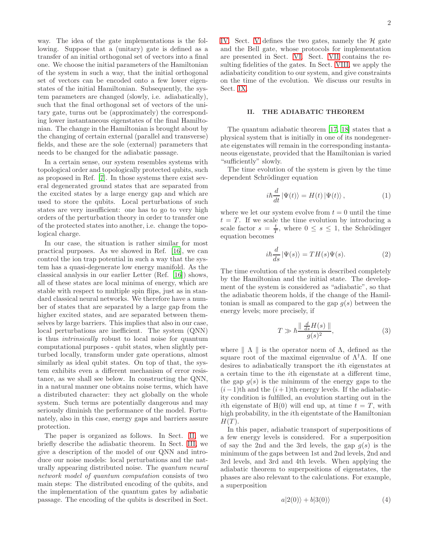way. The idea of the gate implementations is the following. Suppose that a (unitary) gate is defined as a transfer of an initial orthogonal set of vectors into a final one. We choose the initial parameters of the Hamiltonian of the system in such a way, that the initial orthogonal set of vectors can be encoded onto a few lower eigenstates of the initial Hamiltonian. Subsequently, the system parameters are changed (slowly, i.e. adiabatically), such that the final orthogonal set of vectors of the unitary gate, turns out be (approximately) the corresponding lower instantaneous eigenstates of the final Hamiltonian. The change in the Hamiltonian is brought about by the changing of certain external (parallel and transverse) fields, and these are the sole (external) parameters that needs to be changed for the adiabatic passage.

In a certain sense, our system resembles systems with topological order and topologically protected qubits, such as proposed in Ref. [\[7](#page-8-6)]. In those systems there exist several degenerated ground states that are separated from the excited states by a large energy gap and which are used to store the qubits. Local perturbations of such states are very insufficient: one has to go to very high orders of the perturbation theory in order to transfer one of the protected states into another, i.e. change the topological charge.

In our case, the situation is rather similar for most practical purposes. As we showed in Ref. [\[16\]](#page-9-1), we can control the ion trap potential in such a way that the system has a quasi-degenerate low energy manifold. As the classical analysis in our earlier Letter (Ref. [\[16\]](#page-9-1)) shows, all of these states are local minima of energy, which are stable with respect to multiple spin flips, just as in standard classical neural networks. We therefore have a number of states that are separated by a large gap from the higher excited states, and are separated between themselves by large barriers. This implies that also in our case, local perturbations are inefficient. The system (QNN) is thus intrinsically robust to local noise for quantum computational purposes - qubit states, when slightly perturbed locally, transform under gate operations, almost similarly as ideal qubit states. On top of that, the system exhibits even a different mechanism of error resistance, as we shall see below. In constructing the QNN, in a natural manner one obtains noise terms, which have a distributed character: they act globally on the whole system. Such terms are potentially dangerous and may seriously diminish the performance of the model. Fortunately, also in this case, energy gaps and barriers assure protection.

The paper is organized as follows. In Sect. [II,](#page-1-0) we briefly describe the adiabatic theorem. In Sect. [III,](#page-2-0) we give a description of the model of our QNN and introduce our noise models: local perturbations and the naturally appearing distributed noise. The quantum neural network model of quantum computation consists of two main steps: The distributed encoding of the qubits, and the implementation of the quantum gates by adiabatic passage. The encoding of the qubits is described in Sect.

[IV.](#page-3-0) Sect. [V](#page-3-1) defines the two gates, namely the  $H$  gate and the Bell gate, whose protocols for implementation are presented in Sect. [VI.](#page-4-0) Sect. [VII](#page-6-0) contains the resulting fidelities of the gates. In Sect. [VIII,](#page-6-1) we apply the adiabaticity condition to our system, and give constraints on the time of the evolution. We discuss our results in Sect. [IX.](#page-7-0)

#### <span id="page-1-0"></span>II. THE ADIABATIC THEOREM

The quantum adiabatic theorem [\[17,](#page-9-2) [18\]](#page-9-3) states that a physical system that is initially in one of its nondegenerate eigenstates will remain in the corresponding instantaneous eigenstate, provided that the Hamiltonian is varied "sufficiently" slowly.

The time evolution of the system is given by the time dependent Schrödinger equation

$$
i\hbar \frac{d}{dt} |\Psi(t)\rangle = H(t) |\Psi(t)\rangle, \qquad (1)
$$

where we let our system evolve from  $t = 0$  until the time  $t = T$ . If we scale the time evolution by introducing a scale factor  $s = \frac{t}{T}$ , where  $0 \leq s \leq 1$ , the Schrödinger equation becomes

$$
i\hbar \frac{d}{ds} |\Psi(s)\rangle = TH(s)\Psi(s).
$$
 (2)

The time evolution of the system is described completely by the Hamiltonian and the initial state. The development of the system is considered as "adiabatic", so that the adiabatic theorem holds, if the change of the Hamiltonian is small as compared to the gap  $q(s)$  between the energy levels; more precisely, if

<span id="page-1-1"></span>
$$
T \gg \hbar \frac{\parallel \frac{d}{ds} H(s) \parallel}{g(s)^2},\tag{3}
$$

where  $\parallel \Lambda \parallel$  is the operator norm of  $\Lambda$ , defined as the square root of the maximal eigenvalue of  $\Lambda^{\dagger} \Lambda$ . If one desires to adiabatically transport the ith eigenstates at a certain time to the ith eigenstate at a different time, the gap  $g(s)$  is the minimum of the energy gaps to the  $(i-1)$ th and the  $(i+1)$ th energy levels. If the adiabaticity condition is fulfilled, an evolution starting out in the ith eigenstate of  $H(0)$  will end up, at time  $t = T$ , with high probability, in the ith eigentstate of the Hamiltonian  $H(T)$ .

In this paper, adiabatic transport of superpositions of a few energy levels is considered. For a superposition of say the 2nd and the 3rd levels, the gap  $q(s)$  is the minimum of the gaps between 1st and 2nd levels, 2nd and 3rd levels, and 3rd and 4th levels. When applying the adiabatic theorem to superpositions of eigenstates, the phases are also relevant to the calculations. For example, a superposition

$$
a|2(0)\rangle + b|3(0)\rangle \tag{4}
$$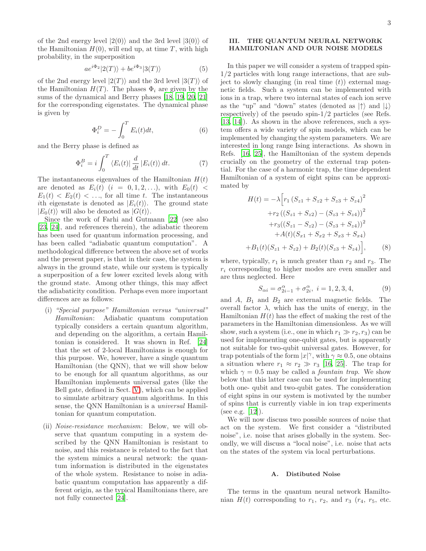of the 2nd energy level  $|2(0)\rangle$  and the 3rd level  $|3(0)\rangle$  of the Hamiltonian  $H(0)$ , will end up, at time T, with high probability, in the superposition

$$
ae^{i\Phi_2}|2(T)\rangle + be^{i\Phi_3}|3(T)\rangle \tag{5}
$$

of the 2nd energy level  $|2(T)\rangle$  and the 3rd level  $|3(T)\rangle$  of the Hamiltonian  $H(T)$ . The phases  $\Phi_i$  are given by the sums of the dynamical and Berry phases [\[18,](#page-9-3) [19](#page-9-4), [20](#page-9-5), [21](#page-9-6)] for the corresponding eigenstates. The dynamical phase is given by

$$
\Phi_i^D = -\int_0^T E_i(t)dt,\tag{6}
$$

and the Berry phase is defined as

$$
\Phi_i^B = i \int_0^T \langle E_i(t) | \frac{d}{dt} | E_i(t) \rangle dt.
$$
 (7)

The instantaneous eigenvalues of the Hamiltonian  $H(t)$ are denoted as  $E_i(t)$   $(i = 0, 1, 2, \ldots)$ , with  $E_0(t)$  <  $E_1(t) < E_2(t) < \ldots$ , for all time t. The instantaneous ith eigenstate is denoted as  $|E_i(t)\rangle$ . The ground state  $|E_0(t)\rangle$  will also be denoted as  $|G(t)\rangle$ .

Since the work of Farhi and Gutmann [\[22](#page-9-7)] (see also [\[23,](#page-9-8) [24\]](#page-9-9), and references therein), the adiabatic theorem has been used for quantum information processing, and has been called "adiabatic quantum computation". A methodological difference between the above set of works and the present paper, is that in their case, the system is always in the ground state, while our system is typically a superposition of a few lower excited levels along with the ground state. Among other things, this may affect the adiabaticity condition. Perhaps even more important differences are as follows:

- (i) "Special purpose" Hamiltonian versus "universal" Hamiltonian: Adiabatic quantum computation typically considers a certain quantum algorithm, and depending on the algorithm, a certain Hamiltonian is considered. It was shown in Ref. [\[24](#page-9-9)] that the set of 2-local Hamiltonians is enough for this purpose. We, however, have a single quantum Hamiltonian (the QNN), that we will show below to be enough for all quantum algorithms, as our Hamiltonian implements universal gates (like the Bell gate, defined in Sect. [V\)](#page-3-1), which can be applied to simulate arbitrary quantum algorithms. In this sense, the QNN Hamiltonian is a universal Hamiltonian for quantum computation.
- (ii) Noise-resistance mechanism: Below, we will observe that quantum computing in a system described by the QNN Hamiltonian is resistant to noise, and this resistance is related to the fact that the system mimics a neural network: the quantum information is distributed in the eigenstates of the whole system. Resistance to noise in adiabatic quantum computation has apparently a different origin, as the typical Hamiltonians there, are not fully connected [\[24\]](#page-9-9).

# <span id="page-2-0"></span>III. THE QUANTUM NEURAL NETWORK HAMILTONIAN AND OUR NOISE MODELS

In this paper we will consider a system of trapped spin-1/2 particles with long range interactions, that are subject to slowly changing (in real time  $(t)$ ) external magnetic fields. Such a system can be implemented with ions in a trap, where two internal states of each ion serve as the "up" and "down" states (denoted as  $|\uparrow\rangle$  and  $|\downarrow\rangle$ ) respectively) of the pseudo spin-1/2 particles (see Refs. [\[13,](#page-8-10) [14](#page-8-11)]). As shown in the above references, such a system offers a wide variety of spin models, which can be implemented by changing the system parameters. We are interested in long range Ising interactions. As shown in Refs. [\[16,](#page-9-1) [25\]](#page-9-10), the Hamiltonian of the system depends crucially on the geometry of the external trap potential. For the case of a harmonic trap, the time dependent Hamiltonian of a system of eight spins can be approximated by

$$
H(t) = -\lambda \Big[ r_1 \left( S_{z1} + S_{z2} + S_{z3} + S_{z4} \right)^2
$$
  
+ 
$$
r_2 \left( \left( S_{z1} + S_{z2} \right) - \left( S_{z3} + S_{z4} \right) \right)^2
$$
  
+ 
$$
r_3 \left( \left( S_{z1} - S_{z2} \right) - \left( S_{z3} + S_{z4} \right) \right)^2
$$
  
+ 
$$
A(t) \left( S_{x1} + S_{x2} + S_{x3} + S_{x4} \right)
$$
  
+ 
$$
B_1(t) \left( S_{z1} + S_{z2} \right) + B_2(t) \left( S_{z3} + S_{z4} \right) \Big],
$$
 (8)

where, typically,  $r_1$  is much greater than  $r_2$  and  $r_3$ . The  $r_i$  corresponding to higher modes are even smaller and are thus neglected. Here

$$
S_{\alpha i} = \sigma_{2i-1}^{\alpha} + \sigma_{2i}^{\alpha}, \ i = 1, 2, 3, 4,
$$
 (9)

and  $A$ ,  $B_1$  and  $B_2$  are external magnetic fields. The overall factor  $\lambda$ , which has the units of energy, in the Hamiltonian  $H(t)$  has the effect of making the rest of the parameters in the Hamiltonian dimensionless. As we will show, such a system (i.e., one in which  $r_1 \gg r_2, r_3$ ) can be used for implementing one-qubit gates, but is apparently not suitable for two-qubit universal gates. However, for trap potentials of the form  $|x|^\gamma$ , with  $\gamma \approx 0.5$ , one obtains a situation where  $r_1 \approx r_2 \gg r_3$  [\[16,](#page-9-1) [25\]](#page-9-10). The trap for which  $\gamma = 0.5$  may be called a *fountain trap*. We show below that this latter case can be used for implementing both one- qubit and two-qubit gates. The consideration of eight spins in our system is motivated by the number of spins that is currently viable in ion trap experiments (see e.g. [\[12](#page-8-13)]).

We will now discuss two possible sources of noise that act on the system. We first consider a "distributed noise", i.e. noise that arises globally in the system. Secondly, we will discuss a "local noise", i.e. noise that acts on the states of the system via local perturbations.

## A. Distibuted Noise

The terms in the quantum neural network Hamiltonian  $H(t)$  corresponding to  $r_1$ ,  $r_2$ , and  $r_3$  ( $r_4$ ,  $r_5$ , etc.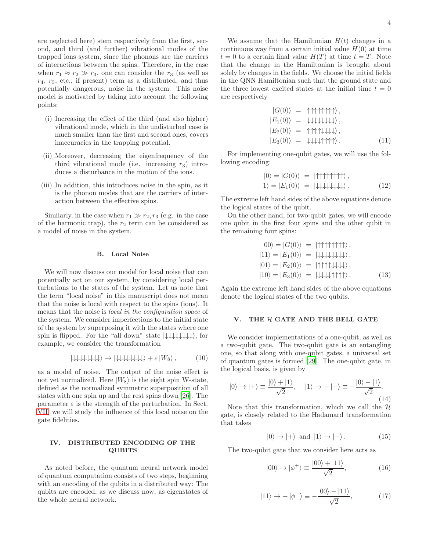are neglected here) stem respectively from the first, second, and third (and further) vibrational modes of the trapped ions system, since the phonons are the carriers of interactions between the spins. Therefore, in the case when  $r_1 \approx r_2 \gg r_3$ , one can consider the  $r_3$  (as well as  $r_4$ ,  $r_5$ , etc., if present) term as a distributed, and thus potentially dangerous, noise in the system. This noise model is motivated by taking into account the following points:

- (i) Increasing the effect of the third (and also higher) vibrational mode, which in the undisturbed case is much smaller than the first and second ones, covers inaccuracies in the trapping potential.
- (ii) Moreover, decreasing the eigenfrequency of the third vibrational mode (i.e. increasing  $r_3$ ) introduces a disturbance in the motion of the ions.
- (iii) In addition, this introduces noise in the spin, as it is the phonon modes that are the carriers of interaction between the effective spins.

Similarly, in the case when  $r_1 \gg r_2, r_3$  (e.g. in the case of the harmonic trap), the  $r_2$  term can be considered as a model of noise in the system.

## B. Local Noise

We will now discuss our model for local noise that can potentially act on our system, by considering local perturbations to the states of the system. Let us note that the term "local noise" in this manuscript does not mean that the noise is local with respect to the spins (ions). It means that the noise is local in the configuration space of the system. We consider imperfections to the initial state of the system by superposing it with the states where one spin is flipped. For the "all down" state  $|\downarrow\downarrow\downarrow\downarrow\downarrow\downarrow\rangle$ , for example, we consider the transformation

$$
|\downarrow\downarrow\downarrow\downarrow\downarrow\downarrow\downarrow\rangle \rightarrow |\downarrow\downarrow\downarrow\downarrow\downarrow\downarrow\downarrow\rangle + \varepsilon |W_8\rangle, \tag{10}
$$

as a model of noise. The output of the noise effect is not yet normalized. Here  $|W_8\rangle$  is the eight spin W-state, defined as the normalized symmetric superposition of all states with one spin up and the rest spins down [\[26](#page-9-11)]. The parameter  $\varepsilon$  is the strength of the perturbation. In Sect. [VII,](#page-6-0) we will study the influence of this local noise on the gate fidelities.

# <span id="page-3-0"></span>IV. DISTRIBUTED ENCODING OF THE QUBITS

As noted before, the quantum neural network model of quantum computation consists of two steps, beginning with an encoding of the qubits in a distributed way: The qubits are encoded, as we discuss now, as eigenstates of the whole neural network.

We assume that the Hamiltonian  $H(t)$  changes in a continuous way from a certain initial value  $H(0)$  at time  $t = 0$  to a certain final value  $H(T)$  at time  $t = T$ . Note that the change in the Hamiltonian is brought about solely by changes in the fields. We choose the initial fields in the QNN Hamiltonian such that the ground state and the three lowest excited states at the initial time  $t = 0$ are respectively

$$
|G(0)\rangle = |1\uparrow\uparrow\uparrow\uparrow\uparrow\uparrow\rangle, |E_1(0)\rangle = |1\downarrow\downarrow\downarrow\downarrow\downarrow\rangle, |E_2(0)\rangle = |1\uparrow\uparrow\uparrow\downarrow\downarrow\downarrow\downarrow\rangle, |E_3(0)\rangle = |1\downarrow\downarrow\downarrow\downarrow\uparrow\uparrow\uparrow\rangle.
$$
 (11)

For implementing one-qubit gates, we will use the following encoding:

<span id="page-3-2"></span>
$$
|0\rangle = |G(0)\rangle = |\uparrow \uparrow \uparrow \uparrow \uparrow \uparrow \uparrow \uparrow \rangle,
$$
  

$$
|1\rangle = |E_1(0)\rangle = |\downarrow \downarrow \downarrow \downarrow \downarrow \downarrow \downarrow \rangle.
$$
 (12)

The extreme left hand sides of the above equations denote the logical states of the qubit.

On the other hand, for two-qubit gates, we will encode one qubit in the first four spins and the other qubit in the remaining four spins:

<span id="page-3-3"></span>
$$
|00\rangle = |G(0)\rangle = |1\uparrow\uparrow\uparrow\uparrow\uparrow\uparrow\rangle,
$$
  
\n
$$
|11\rangle = |E_1(0)\rangle = | \downarrow \downarrow \downarrow \downarrow \downarrow \downarrow \rangle,
$$
  
\n
$$
|01\rangle = |E_2(0)\rangle = | \uparrow \uparrow\uparrow\uparrow \downarrow \downarrow \downarrow \downarrow \rangle,
$$
  
\n
$$
|10\rangle = |E_3(0)\rangle = | \downarrow \downarrow \downarrow \uparrow \uparrow\uparrow \uparrow \rangle.
$$
 (13)

Again the extreme left hand sides of the above equations denote the logical states of the two qubits.

#### <span id="page-3-1"></span>V. THE H GATE AND THE BELL GATE

We consider implementations of a one-qubit, as well as a two-qubit gate. The two-qubit gate is an entangling one, so that along with one-qubit gates, a universal set of quantum gates is formed [\[29](#page-9-12)]. The one-qubit gate, in the logical basis, is given by

$$
|0\rangle \to |+\rangle \equiv \frac{|0\rangle + |1\rangle}{\sqrt{2}}, \quad |1\rangle \to -|-\rangle \equiv -\frac{|0\rangle - |1\rangle}{\sqrt{2}}.
$$
\n(14)

Note that this transformation, which we call the  $H$ gate, is closely related to the Hadamard transformation that takes

$$
|0\rangle \to |+\rangle \text{ and } |1\rangle \to |-\rangle. \tag{15}
$$

The two-qubit gate that we consider here acts as

$$
|00\rangle \to |\phi^+\rangle \equiv \frac{|00\rangle + |11\rangle}{\sqrt{2}},\tag{16}
$$

$$
|11\rangle \rightarrow -|\phi^{-}\rangle \equiv -\frac{|00\rangle - |11\rangle}{\sqrt{2}},\tag{17}
$$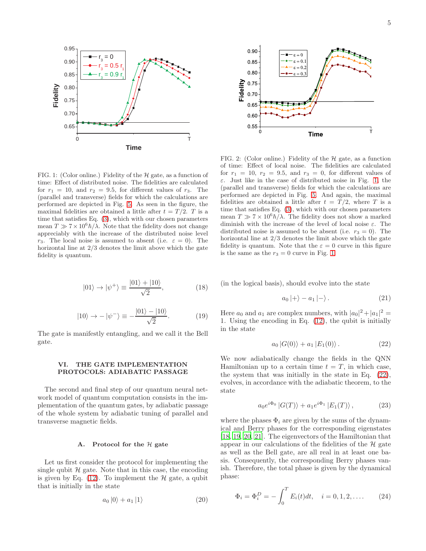

<span id="page-4-1"></span>FIG. 1: (Color online.) Fidelity of the  $H$  gate, as a function of time: Effect of distributed noise. The fidelities are calculated for  $r_1 = 10$ , and  $r_2 = 9.5$ , for different values of  $r_3$ . The (parallel and transverse) fields for which the calculations are performed are depicted in Fig. [5.](#page-6-2) As seen in the figure, the maximal fidelities are obtained a little after  $t = T/2$ . T is a time that satisfies Eq. [\(3\)](#page-1-1), which with our chosen parameters mean  $T \gg 7 \times 10^6 \hbar / \lambda$ . Note that the fidelity does not change appreciably with the increase of the distributed noise level r<sub>3</sub>. The local noise is assumed to absent (i.e.  $\varepsilon = 0$ ). The horizontal line at  $2/3$  denotes the limit above which the gate fidelity is quantum.

$$
|01\rangle \rightarrow |\psi^{+}\rangle \equiv \frac{|01\rangle + |10\rangle}{\sqrt{2}}, \tag{18}
$$

$$
|10\rangle \rightarrow -|\psi^{-}\rangle \equiv -\frac{|01\rangle - |10\rangle}{\sqrt{2}}.
$$
 (19)

The gate is manifestly entangling, and we call it the Bell gate.

#### <span id="page-4-0"></span>VI. THE GATE IMPLEMENTATION PROTOCOLS: ADIABATIC PASSAGE

The second and final step of our quantum neural network model of quantum computation consists in the implementation of the quantum gates, by adiabatic passage of the whole system by adiabatic tuning of parallel and transverse magnetic fields.

#### A. Protocol for the  $H$  gate

Let us first consider the protocol for implementing the single qubit  $H$  gate. Note that in this case, the encoding is given by Eq.  $(12)$ . To implement the  $\mathcal H$  gate, a qubit that is initially in the state

$$
a_0 |0\rangle + a_1 |1\rangle \tag{20}
$$



<span id="page-4-4"></span>FIG. 2: (Color online.) Fidelity of the  $H$  gate, as a function of time: Effect of local noise. The fidelities are calculated for  $r_1 = 10$ ,  $r_2 = 9.5$ , and  $r_3 = 0$ , for different values of ε. Just like in the case of distributed noise in Fig. [1,](#page-4-1) the (parallel and transverse) fields for which the calculations are performed are depicted in Fig. [5.](#page-6-2) And again, the maximal fidelities are obtained a little after  $t = T/2$ , where T is a time that satisfies Eq. [\(3\)](#page-1-1), which with our chosen parameters mean  $T \gg 7 \times 10^6 \hbar / \lambda$ . The fidelity does not show a marked diminish with the increase of the level of local noise  $\varepsilon$ . The distributed noise is assumed to be absent (i.e.  $r_3 = 0$ ). The horizontal line at  $2/3$  denotes the limit above which the gate fidelity is quantum. Note that the  $\varepsilon = 0$  curve in this figure is the same as the  $r_3 = 0$  curve in Fig. [1.](#page-4-1)

(in the logical basis), should evolve into the state

$$
a_0 \ket{+} - a_1 \ket{-} . \tag{21}
$$

Here  $a_0$  and  $a_1$  are complex numbers, with  $|a_0|^2 + |a_1|^2 =$ 1. Using the encoding in Eq. [\(12\)](#page-3-2), the qubit is initially in the state

<span id="page-4-2"></span>
$$
a_0 |G(0)\rangle + a_1 |E_1(0)\rangle.
$$
 (22)

We now adiabatically change the fields in the QNN Hamiltonian up to a certain time  $t = T$ , in which case, the system that was initially in the state in Eq. [\(22\)](#page-4-2), evolves, in accordance with the adiabatic theorem, to the state

<span id="page-4-3"></span>
$$
a_0 e^{i\Phi_0} |G(T)\rangle + a_1 e^{i\Phi_1} |E_1(T)\rangle , \qquad (23)
$$

where the phases  $\Phi_i$  are given by the sums of the dynamical and Berry phases for the corresponding eigenstates [\[18,](#page-9-3) [19](#page-9-4), [20,](#page-9-5) [21](#page-9-6)]. The eigenvectors of the Hamiltonian that appear in our calculations of the fidelities of the  $H$  gate as well as the Bell gate, are all real in at least one basis. Consequently, the corresponding Berry phases vanish. Therefore, the total phase is given by the dynamical phase:

$$
\Phi_i = \Phi_i^D = -\int_0^T E_i(t)dt, \quad i = 0, 1, 2, .... \tag{24}
$$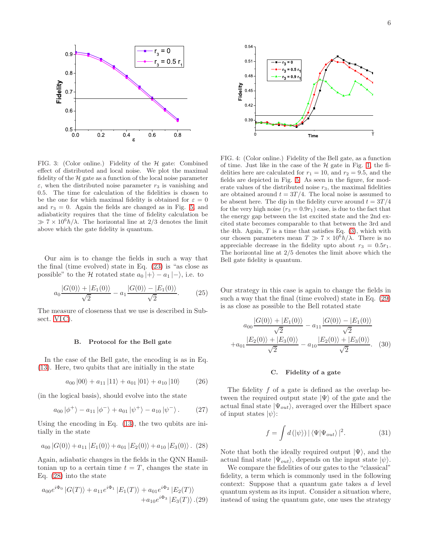

<span id="page-5-3"></span>FIG. 3: (Color online.) Fidelity of the  $H$  gate: Combined effect of distributed and local noise. We plot the maximal fidelity of the  $H$  gate as a function of the local noise parameter  $\varepsilon$ , when the distributed noise parameter  $r_3$  is vanishing and 0.5. The time for calculation of the fidelities is chosen to be the one for which maximal fidelity is obtained for  $\varepsilon = 0$ and  $r_3 = 0$ . Again the fields are changed as in Fig. [5,](#page-6-2) and adiabaticity requires that the time of fidelity calculation be  $\gg 7 \times 10^6 \hbar / \lambda$ . The horizontal line at 2/3 denotes the limit above which the gate fidelity is quantum.

Our aim is to change the fields in such a way that the final (time evolved) state in Eq. [\(23\)](#page-4-3) is "as close as possible" to the H rotated state  $a_0 |+\rangle - a_1 |-\rangle$ , i.e. to

$$
a_0 \frac{|G(0)\rangle + |E_1(0)\rangle}{\sqrt{2}} - a_1 \frac{|G(0)\rangle - |E_1(0)\rangle}{\sqrt{2}}.
$$
 (25)

The measure of closeness that we use is described in Subsect. VIC).

#### B. Protocol for the Bell gate

In the case of the Bell gate, the encoding is as in Eq. [\(13\)](#page-3-3). Here, two qubits that are initially in the state

$$
a_{00} |00\rangle + a_{11} |11\rangle + a_{01} |01\rangle + a_{10} |10\rangle \tag{26}
$$

(in the logical basis), should evolve into the state

$$
a_{00} |\phi^{+}\rangle - a_{11} |\phi^{-}\rangle + a_{01} |\psi^{+}\rangle - a_{10} |\psi^{-}\rangle.
$$
 (27)

Using the encoding in Eq. [\(13\)](#page-3-3), the two qubits are initially in the state

<span id="page-5-1"></span>
$$
a_{00} |G(0)\rangle + a_{11} |E_1(0)\rangle + a_{01} |E_2(0)\rangle + a_{10} |E_3(0)\rangle
$$
. (28)

Again, adiabatic changes in the fields in the QNN Hamiltonian up to a certain time  $t = T$ , changes the state in Eq. [\(28\)](#page-5-1) into the state

<span id="page-5-2"></span>
$$
a_{00}e^{i\Phi_0} |G(T)\rangle + a_{11}e^{i\Phi_1} |E_1(T)\rangle + a_{01}e^{i\Phi_2} |E_2(T)\rangle
$$
  
  $+ a_{10}e^{i\Phi_3} |E_3(T)\rangle . (29)$ 



<span id="page-5-4"></span>FIG. 4: (Color online.) Fidelity of the Bell gate, as a function of time. Just like in the case of the  $H$  gate in Fig. [1,](#page-4-1) the fidelities here are calculated for  $r_1 = 10$ , and  $r_2 = 9.5$ , and the fields are depicted in Fig. [5.](#page-6-2) As seen in the figure, for moderate values of the distributed noise  $r_3$ , the maximal fidelities are obtained around  $t = 3T/4$ . The local noise is assumed to be absent here. The dip in the fidelity curve around  $t = 3T/4$ for the very high noise  $(r_3 = 0.9r_1)$  case, is due to the fact that the energy gap between the 1st excited state and the 2nd excited state becomes comparable to that between the 3rd and the 4th. Again,  $T$  is a time that satisfies Eq.  $(3)$ , which with our chosen parameters mean  $T \gg 7 \times 10^6 \hbar / \lambda$ . There is no appreciable decrease in the fidelity upto about  $r_3 = 0.5r_1$ . The horizontal line at 2/5 denotes the limit above which the Bell gate fidelity is quantum.

Our strategy in this case is again to change the fields in such a way that the final (time evolved) state in Eq. [\(29\)](#page-5-2) is as close as possible to the Bell rotated state

$$
a_{00} \frac{|G(0)\rangle + |E_1(0)\rangle}{\sqrt{2}} - a_{11} \frac{|G(0)\rangle - |E_1(0)\rangle}{\sqrt{2}} + a_{01} \frac{|E_2(0)\rangle + |E_3(0)\rangle}{\sqrt{2}} - a_{10} \frac{|E_2(0)\rangle + |E_3(0)\rangle}{\sqrt{2}}.
$$
 (30)

#### <span id="page-5-0"></span>C. Fidelity of a gate

The fidelity  $f$  of a gate is defined as the overlap between the required output state  $|\Psi\rangle$  of the gate and the actual final state  $|\Psi_{out}\rangle$ , averaged over the Hilbert space of input states  $|\psi\rangle$ :

$$
f = \int d\left(\left|\psi\right\rangle\right) |\left\langle \Psi | \Psi_{out} \right\rangle|^2. \tag{31}
$$

Note that both the ideally required output  $|\Psi\rangle$ , and the actual final state  $|\Psi_{out}\rangle$ , depends on the input state  $|\psi\rangle$ .

We compare the fidelities of our gates to the "classical" fidelity, a term which is commonly used in the following context: Suppose that a quantum gate takes a d level quantum system as its input. Consider a situation where, instead of using the quantum gate, one uses the strategy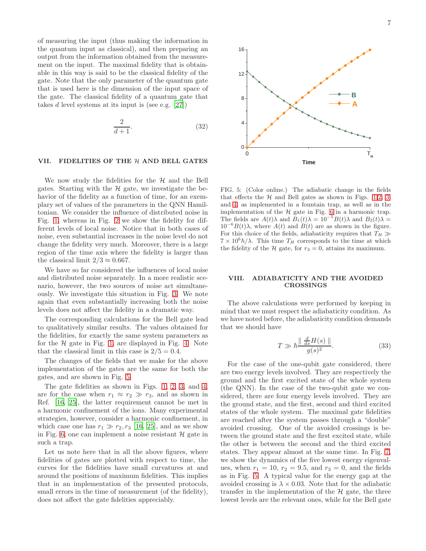of measuring the input (thus making the information in the quantum input as classical), and then preparing an output from the information obtained from the measurement on the input. The maximal fidelity that is obtainable in this way is said to be the classical fidelity of the gate. Note that the only parameter of the quantum gate that is used here is the dimension of the input space of the gate. The classical fidelity of a quantum gate that takes  $d$  level systems at its input is (see e.g. [\[27\]](#page-9-13))

$$
\frac{2}{d+1}.\tag{32}
$$

#### <span id="page-6-0"></span>VII. FIDELITIES OF THE  $H$  AND BELL GATES

We now study the fidelities for the  $H$  and the Bell gates. Starting with the  $H$  gate, we investigate the behavior of the fidelity as a function of time, for an exemplary set of values of the parameters in the QNN Hamiltonian. We consider the influence of distributed noise in Fig. [1,](#page-4-1) whereas in Fig. [2](#page-4-4) we show the fidelity for different levels of local noise. Notice that in both cases of noise, even substantial increases in the noise level do not change the fidelity very much. Moreover, there is a large region of the time axis where the fidelity is larger than the classical limit  $2/3 \approx 0.667$ .

We have so far considered the influences of local noise and distributed noise separately. In a more realistic scenario, however, the two sources of noise act simultaneously. We investigate this situation in Fig. [3.](#page-5-3) We note again that even substantially increasing both the noise levels does not affect the fidelity in a dramatic way.

The corresponding calculations for the Bell gate lead to qualitatively similar results. The values obtained for the fidelities, for exactly the same system parameters as for the  $H$  gate in Fig. [1,](#page-4-1) are displayed in Fig. [4.](#page-5-4) Note that the classical limit in this case is  $2/5 = 0.4$ .

The changes of the fields that we make for the above implementation of the gates are the same for both the gates, and are shown in Fig. [5.](#page-6-2)

The gate fidelities as shown in Figs. [1,](#page-4-1) [2,](#page-4-4) [3,](#page-5-3) and [4,](#page-5-4) are for the case when  $r_1 \approx r_2 \gg r_3$ , and as shown in Ref. [\[16,](#page-9-1) [25\]](#page-9-10), the latter requirement cannot be met in a harmonic confinement of the ions. Many experimental strategies, however, consider a harmonic confinement, in which case one has  $r_1 \gg r_2, r_3$  [\[16,](#page-9-1) [25\]](#page-9-10), and as we show in Fig. [6,](#page-7-1) one can implement a noise resistant  $\mathcal H$  gate in such a trap.

Let us note here that in all the above figures, where fidelities of gates are plotted with respect to time, the curves for the fidelities have small curvatures at and around the positions of maximum fidelities. This implies that in an implementation of the presented protocols, small errors in the time of measurement (of the fidelity), does not affect the gate fidelities appreciably.



<span id="page-6-2"></span>FIG. 5: (Color online.) The adiabatic change in the fields that effects the  $H$  and Bell gates as shown in Figs. [1,](#page-4-1)[2,](#page-4-4) [3,](#page-5-3) and [4,](#page-5-4) as implemented in a fountain trap, as well as in the implementation of the  ${\mathcal H}$  gate in Fig. [6](#page-7-1) in a harmonic trap. The fields are  $A(t)\lambda$  and  $B_1(t)\lambda = 10^{-5}B(t)\lambda$  and  $B_2(t)\lambda =$  $10^{-6}B(t)\lambda$ , where  $A(t)$  and  $B(t)$  are as shown in the figure. For this choice of the fields, adiabaticity requires that  $T_H \gg$  $7 \times 10^6 \hbar / \lambda$ . This time  $T_H$  corresponds to the time at which the fidelity of the H gate, for  $r_3 = 0$ , attains its maximum.

# <span id="page-6-1"></span>VIII. ADIABATICITY AND THE AVOIDED CROSSINGS

The above calculations were performed by keeping in mind that we must respect the adiabaticity condition. As we have noted before, the adiabaticity condition demands that we should have

$$
T \gg \hbar \frac{\parallel \frac{d}{ds} H(s) \parallel}{g(s)^2}.
$$
\n(33)

For the case of the one-qubit gate considered, there are two energy levels involved. They are respectively the ground and the first excited state of the whole system (the QNN). In the case of the two-qubit gate we considered, there are four energy levels involved. They are the ground state, and the first, second and third excited states of the whole system. The maximal gate fidelities are reached after the system passes through a "double" avoided crossing. One of the avoided crossings is between the ground state and the first excited state, while the other is between the second and the third excited states. They appear almost at the same time. In Fig. [7,](#page-7-2) we show the dynamics of the five lowest energy eigenvalues, when  $r_1 = 10$ ,  $r_2 = 9.5$ , and  $r_3 = 0$ , and the fields as in Fig. [5.](#page-6-2) A typical value for the energy gap at the avoided crossing is  $\lambda \times 0.03$ . Note that for the adiabatic transfer in the implementation of the  $H$  gate, the three lowest levels are the relevant ones, while for the Bell gate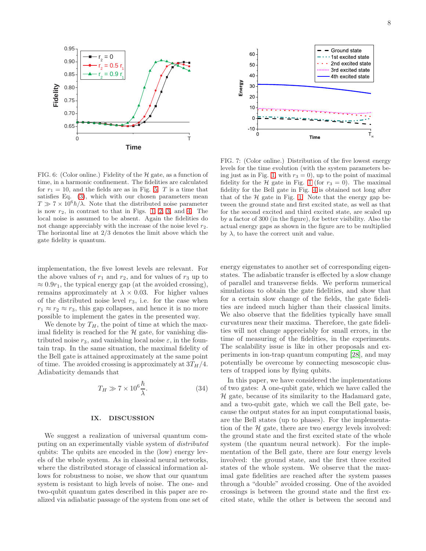



<span id="page-7-1"></span>FIG. 6: (Color online.) Fidelity of the  $H$  gate, as a function of time, in a harmonic confinement. The fidelities are calculated for  $r_1 = 10$ , and the fields are as in Fig. [5.](#page-6-2) T is a time that satisfies Eq. [\(3\)](#page-1-1), which with our chosen parameters mean  $T \gg 7 \times 10^6 h/\lambda$ . Note that the distributed noise parameter is now  $r_2$ , in contrast to that in Figs. [1,](#page-4-1) [2,](#page-4-4) [3,](#page-5-3) and [4.](#page-5-4) The local noise is assumed to be absent. Again the fidelities do not change appreciably with the increase of the noise level  $r_2$ . The horizontal line at 2/3 denotes the limit above which the gate fidelity is quantum.

<span id="page-7-2"></span>FIG. 7: (Color online.) Distribution of the five lowest energy levels for the time evolution (with the system parameters be-ing just as in Fig. [1,](#page-4-1) with  $r_3 = 0$ , up to the point of maximal fidelity for the H gate in Fig. [1](#page-4-1) (for  $r_3 = 0$ ). The maximal fidelity for the Bell gate in Fig. [4](#page-5-4) is obtained not long after that of the  $H$  gate in Fig. [1.](#page-4-1) Note that the energy gap between the ground state and first excited state, as well as that for the second excited and third excited state, are scaled up by a factor of 300 (in the figure), for better visibility. Also the actual energy gaps as shown in the figure are to be multiplied by  $\lambda$ , to have the correct unit and value.

implementation, the five lowest levels are relevant. For the above values of  $r_1$  and  $r_2$ , and for values of  $r_3$  up to  $\approx 0.9r_1$ , the typical energy gap (at the avoided crossing), remains approximately at  $\lambda \times 0.03$ . For higher values of the distributed noise level  $r_3$ , i.e. for the case when  $r_1 \approx r_2 \approx r_3$ , this gap collapses, and hence it is no more possible to implement the gates in the presented way.

We denote by  $T_H$ , the point of time at which the maximal fidelity is reached for the  $H$  gate, for vanishing distributed noise  $r_3$ , and vanishing local noise  $\varepsilon$ , in the fountain trap. In the same situation, the maximal fidelity of the Bell gate is attained approximately at the same point of time. The avoided crossing is approximately at  $3T_H/4$ . Adiabaticity demands that

$$
T_H \gg 7 \times 10^6 \frac{\hbar}{\lambda}.\tag{34}
$$

#### <span id="page-7-0"></span>IX. DISCUSSION

We suggest a realization of universal quantum computing on an experimentally viable system of distributed qubits: The qubits are encoded in the (low) energy levels of the whole system. As in classical neural networks, where the distributed storage of classical information allows for robustness to noise, we show that our quantum system is resistant to high levels of noise. The one- and two-qubit quantum gates described in this paper are realized via adiabatic passage of the system from one set of energy eigenstates to another set of corresponding eigenstates. The adiabatic transfer is effected by a slow change of parallel and transverse fields. We perform numerical simulations to obtain the gate fidelities, and show that for a certain slow change of the fields, the gate fidelities are indeed much higher than their classical limits. We also observe that the fidelities typically have small curvatures near their maxima. Therefore, the gate fidelities will not change appreciably for small errors, in the time of measuring of the fidelities, in the experiments. The scalability issue is like in other proposals and experiments in ion-trap quantum computing [\[28\]](#page-9-14), and may potentially be overcome by connecting mesoscopic clusters of trapped ions by flying qubits.

In this paper, we have considered the implementations of two gates: A one-qubit gate, which we have called the  $H$  gate, because of its similarity to the Hadamard gate, and a two-qubit gate, which we call the Bell gate, because the output states for an input computational basis, are the Bell states (up to phases). For the implementation of the  $H$  gate, there are two energy levels involved: the ground state and the first excited state of the whole system (the quantum neural network). For the implementation of the Bell gate, there are four energy levels involved: the ground state, and the first three excited states of the whole system. We observe that the maximal gate fidelities are reached after the system passes through a "double" avoided crossing. One of the avoided crossings is between the ground state and the first excited state, while the other is between the second and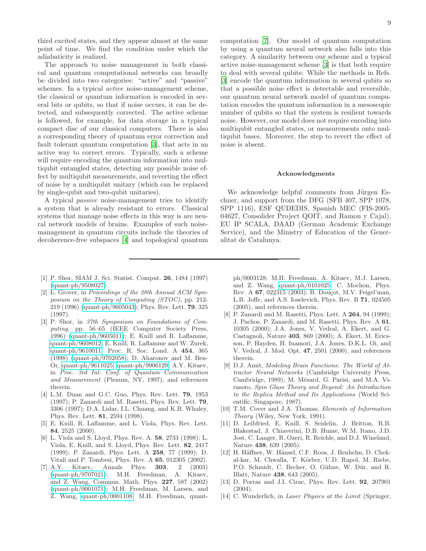third excited states, and they appear almost at the same point of time. We find the condition under which the adiabaticity is realized.

The approach to noise management in both classical and quantum computational networks can broadly be divided into two categories: "active" and "passive" schemes. In a typical active noise-management scheme, the classical or quantum information is encoded in several bits or qubits, so that if noise occurs, it can be detected, and subsequently corrected. The active scheme is followed, for example, for data storage in a typical compact disc of our classical computers. There is also a corresponding theory of quantum error correction and fault tolerant quantum computation [\[3](#page-8-2)], that acts in an active way to correct errors. Typically, such a scheme will require encoding the quantum information into multiqubit entangled states, detecting any possible noise effect by multiqubit measurements, and reverting the effect of noise by a multiqubit unitary (which can be replaced by single-qubit and two-qubit unitaries).

A typical passive noise-management tries to identify a system that is already resistant to errors. Classical systems that manage noise effects in this way is are neural network models of brains. Examples of such noisemanagement in quantum circuits include the theories of decoherence-free subspaces [\[4\]](#page-8-3) and topological quantum

- <span id="page-8-0"></span>[1] P. Shor, SIAM J. Sci. Statist. Comput. 26, 1484 (1997) [\(quant-ph/9508027\)](http://arxiv.org/abs/quant-ph/9508027).
- <span id="page-8-1"></span>[2] L. Grover, in *Proceedings of the 28th Annual ACM Symposium on the Theory of Computing (STOC)*, pp. 212- 219 (1996) [\(quant-ph/9605043\)](http://arxiv.org/abs/quant-ph/9605043); Phys. Rev. Lett. 79, 325 (1997).
- <span id="page-8-2"></span>[3] P. Shor, in *37th Symposium on Foundations of Computing*, pp. 56–65 (IEEE Computer Society Press, 1996) [\(quant-ph/9605011\)](http://arxiv.org/abs/quant-ph/9605011); E. Knill and R. Laflamme, [quant-ph/9608012;](http://arxiv.org/abs/quant-ph/9608012) E. Knill, R. Laflamme and W. Zurek, [quant-ph/9610011;](http://arxiv.org/abs/quant-ph/9610011) Proc. R. Soc. Lond. A 454, 365 (1998) [\(quant-ph/9702058\)](http://arxiv.org/abs/quant-ph/9702058); D. Aharonov and M. Ben-Or, [quant-ph/9611025;](http://arxiv.org/abs/quant-ph/9611025) [quant-ph/9906129;](http://arxiv.org/abs/quant-ph/9906129) A.Y. Kitaev, in *Proc. 3rd Int. Conf. of Quantum Communication and Measurement* (Plenum, NY, 1997), and references therein.
- <span id="page-8-3"></span>[4] L.M. Duan and G.C. Guo, Phys. Rev. Lett. 79, 1953 (1997); P. Zanardi and M. Rasetti, Phys. Rev. Lett. 79, 3306 (1997); D.A. Lidar, I.L. Chuang, and K.B. Whaley, Phys. Rev. Lett. 81, 2594 (1998).
- <span id="page-8-4"></span>[5] E. Knill, R. Laflamme, and L. Viola, Phys. Rev. Lett. 84, 2525 (2000).
- <span id="page-8-5"></span>[6] L. Viola and S. Lloyd, Phys. Rev. A. 58, 2733 (1998); L. Viola, E. Knill, and S. Lloyd, Phys. Rev. Lett. 82, 2417 (1999); P. Zanardi, Phys. Lett. A 258, 77 (1999); D. Vitali and P. Tombesi, Phys. Rev. A **65**, 012305 (2002).<br>A.Y. Kitaev, Annals Phys. **303**, 2 (2003)
- <span id="page-8-6"></span>[7] A.Y. Kitaev, Annals Phys. 303, 2 (2003) [\(quant-ph/9707021\)](http://arxiv.org/abs/quant-ph/9707021); M.H. Freedman, A. Kitaev, and Z. Wang, Commun. Math. Phys. 227, 587 (2002) [\(quant-ph/0001071\)](http://arxiv.org/abs/quant-ph/0001071); M.H. Freedman, M. Larsen, and Z. Wang, [quant-ph/0001108;](http://arxiv.org/abs/quant-ph/0001108) M.H. Freedman, quant-

computation [\[7](#page-8-6)]. Our model of quantum computation by using a quantum neural network also falls into this category. A similarity between our scheme and a typical active noise-management scheme [\[3\]](#page-8-2) is that both require to deal with several qubits: While the methods in Refs. [\[3\]](#page-8-2) encode the quantum information in several qubits so that a possible noise effect is detectable and reversible, our quantum neural network model of quantum computation encodes the quantum information in a mesoscopic number of qubits so that the system is resilient towards noise. However, our model does not require encoding into multiqubit entangled states, or measurements onto multiqubit bases. Moreover, the step to revert the effect of noise is absent.

#### Acknowledgments

We acknowledge helpful comments from Jürgen Eschner, and support from the DFG (SFB 407, SPP 1078, SPP 1116), ESF QUDEDIS, Spanish MEC (FIS-2005- 04627, Consolider Project QOIT, and Ramon y Cajal), EU IP SCALA, DAAD (German Academic Exchange Service), and the Ministry of Education of the Generalitat de Catalunya.

ph/0003128; M.H. Freedman, A. Kitaev, M.J. Larsen, and Z. Wang, [quant-ph/0101025;](http://arxiv.org/abs/quant-ph/0101025) C. Mochon, Phys. Rev. A 67, 022315 (2003); B. Douçot, M.V. Feigel'man, L.B. Joffe, and A.S. Ioselevich, Phys. Rev. B 71, 024505 (2005), and references therein.

- <span id="page-8-7"></span>[8] P. Zanardi and M. Rasetti, Phys. Lett. A **264**, 94 (1999); J. Pachos, P. Zanardi, and M. Rasetti, Phys. Rev. A 61, 10305 (2000); J.A. Jones, V. Vedral, A. Ekert, and G. Castagnoli, Nature 403, 869 (2000); A. Ekert, M. Ericsson, P. Hayden, H. Inamori, J.A. Jones, D.K.L. Oi, and V. Vedral, J. Mod. Opt. 47, 2501 (2000), and references therein.
- <span id="page-8-8"></span>[9] D.J. Amit, *Modeling Brain Functions: The World of Attractor Neural Networks* (Cambridge University Press, Cambridge, 1989); M. Mézard, G. Parisi, and M.A. Virasoro, *Spin Glass Theory and Beyond: An Introduction to the Replica Method and Its Applications* (World Scientific, Singapore, 1987).
- <span id="page-8-9"></span>[10] T.M. Cover and J.A. Thomas, *Elements of Information Theory* (Wiley, New York, 1991).
- <span id="page-8-12"></span>[11] D. Leibfried, E. Knill, S. Seidelin, J. Britton, R.B. Blakestad, J. Chiaverini, D.B. Hume, W.M. Itano, J.D. Jost, C. Langer, R. Ozeri, R. Reichle, and D.J. Wineland, Nature 438, 639 (2005).
- <span id="page-8-13"></span>[12] H. Häffner, W. Hänsel, C.F. Roos, J. Benhelm, D. Chekal-kar, M. Chwalla, T. Körber, U.D. Rapol, M. Riebe, P.O. Schmidt, C. Becher, O. Gühne, W. Dür, and R. Blatt, Nature 438, 643 (2005).
- <span id="page-8-10"></span>[13] D. Porras and J.I. Cirac, Phys. Rev. Lett. **92**, 207901 (2004).
- <span id="page-8-11"></span>[14] C. Wunderlich, in *Laser Physics at the Limit* (Springer,